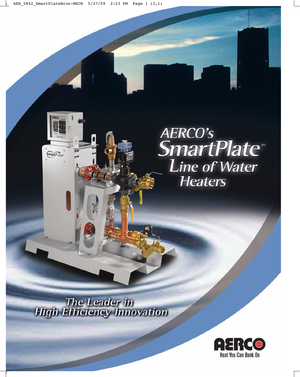# AERCO's<br>SmartPlate **Line of Water Heaters**

The Leader in<br>High Efficiency Innovation

 $S<sub>martP</sub><sub>late</sub>$ 

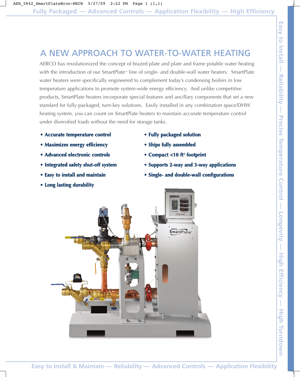## A NEW APPROACH TO WATER-TO-WATER HEATING

AERCO has revolutionized the concept of brazed plate and plate and frame potable water heating with the introduction of our SmartPlate<sup>M</sup> line of single- and double-wall water heaters. SmartPlate water heaters were specifically engineered to complement today's condensing boilers in low temperature applications to promote system-wide energy efficiency. And unlike competitive products, SmartPlate heaters incorporate special features and ancillary components that set a new standard for fully-packaged, turn-key solutions. Easily installed in any combination space/DHW heating system, you can count on SmartPlate heaters to maintain accurate temperature control under diversified loads without the need for storage tanks.

- **Accurate temperature control**
- **Maximizes energy efficiency**
- **Advanced electronic controls**
- **Integrated safety shut-off system**
- **Easy to install and maintain**
- **Long lasting durability**
- **Fully packaged solution**
- **Ships fully assembled**
- **Compact <10 ft2 footprint**
- **Supports 2-way and 3-way applications**
- **Single- and double-wall configurations**

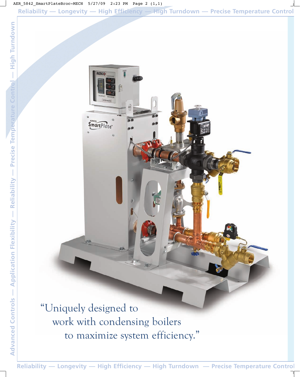Reliability — Longevity — High Efficiency — High Turndown — Precise Temperature Cont

"Uniquely designed to work with condensing boilers to maximize system efficiency."

**SmartPlate** 

Reliability — Longevity — High Efficiency — High Turndown — Precise Temperature Cont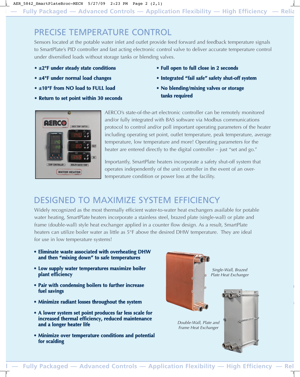## PRECISE TEMPERATURE CONTROL

Sensors located at the potable water inlet and outlet provide feed forward and feedback temperature signals to SmartPlate's PID controller and fast acting electronic control valve to deliver accurate temperature control under diversified loads without storage tanks or blending valves.

- **±2°F under steady state conditions**
- **±4°F under normal load changes**

**l —**

- **±10°F from NO load to FULL load**
- **Return to set point within 30 seconds**
- **Full open to full close in 2 seconds**
- **Integrated "fail safe" safety shut-off system**
- **No blending/mixing valves or storage tanks required**



AERCO's state-of-the-art electronic controller can be remotely monitored and/or fully integrated with BAS software via Modbus communications protocol to control and/or poll important operating parameters of the heater including operating set point, outlet temperature, peak temperature, average temperature, low temperature and more! Operating parameters for the heater are entered directly to the digital controller – just "set and go."

Importantly, SmartPlate heaters incorporate a safety shut-off system that operates independently of the unit controller in the event of an overtemperature condition or power loss at the facility.

## DESIGNED TO MAXIMIZE SYSTEM EFFICIENCY

Widely recognized as the most thermally efficient water-to-water heat exchangers available for potable water heating, SmartPlate heaters incorporate a stainless steel, brazed plate (single-wall) or plate and frame (double-wall) style heat exchanger applied in a counter flow design. As a result, SmartPlate heaters can utilize boiler water as little as 5°F above the desired DHW temperature. They are ideal for use in low temperature systems!

- **Eliminate waste associated with overheating DHW and then "mixing down" to safe temperatures**
- **Low supply water temperatures maximize boiler plant efficiency**
- **Pair with condensing boilers to further increase fuel savings**
- **Minimize radiant losses throughout the system**
- **A lower system set point produces far less scale for increased thermal efficiency, reduced maintenance and a longer heater life**
- **Minimize over temperature conditions and potential for scalding**

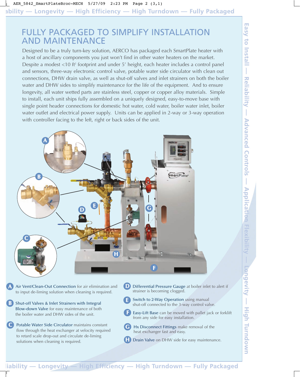#### FULLY PACKAGED TO SIMPLIFY INSTALLATION AND MAINTENANCE

Designed to be a truly turn-key solution, AERCO has packaged each SmartPlate heater with a host of ancillary components you just won't find in other water heaters on the market. Despite a modest <10 ft<sup>2</sup> footprint and under 5' height, each heater includes a control panel and sensors, three-way electronic control valve, potable water side circulator with clean out connections, DHW drain valve, as well as shut-off valves and inlet strainers on both the boiler water and DHW sides to simplify maintenance for the life of the equipment. And to ensure longevity, all water wetted parts are stainless steel, copper or copper alloy materials. Simple to install, each unit ships fully assembled on a uniquely designed, easy-to-move base with single point header connections for domestic hot water, cold water, boiler water inlet, boiler water outlet and electrical power supply. Units can be applied in 2-way or 3-way operation with controller facing to the left, right or back sides of the unit.



Air Vent/Clean-Out Connection for air elimination and to input de-liming solution when cleaning is required. **A**

**B** Shut-off Valves & Inlet Strainers with Integral Blow-down Valve for easy maintenance of both the boiler water and DHW sides of the unit.

Potable Water Side Circulator maintains constant flow through the heat exchanger at velocity required to retard scale drop-out and circulate de-liming solutions when cleaning is required. **C**

- Differential Pressure Gauge at boiler inlet to alert if strainer is becoming clogged. **D**
- Switch to 2-Way Operation using manual shut-off connected to the 3-way control valve. **E**
	- Easy-Lift Base can be moved with pallet jack or forklift from any side for easy installation. **F**
- Hx Disconnect Fittings make removal of the heat exchanger fast and easy. **G**
- **H** Drain Valve on DHW side for easy maintenance.